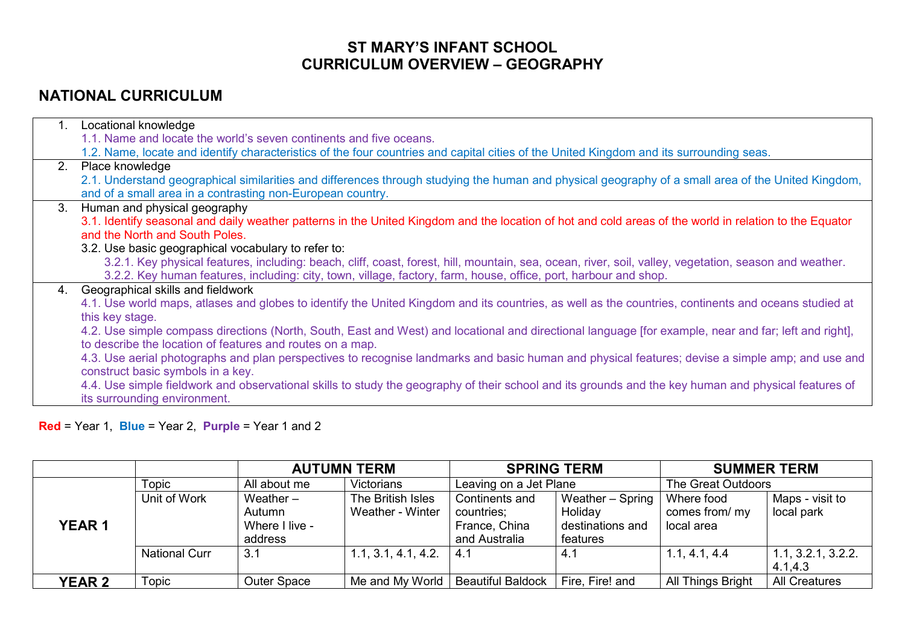## **ST MARY'S INFANT SCHOOL CURRICULUM OVERVIEW – GEOGRAPHY**

## **NATIONAL CURRICULUM**

| 2.1. Understand geographical similarities and differences through studying the human and physical geography of a small area of the United Kingdom,     |
|--------------------------------------------------------------------------------------------------------------------------------------------------------|
|                                                                                                                                                        |
|                                                                                                                                                        |
|                                                                                                                                                        |
|                                                                                                                                                        |
|                                                                                                                                                        |
|                                                                                                                                                        |
| 3.1. Identify seasonal and daily weather patterns in the United Kingdom and the location of hot and cold areas of the world in relation to the Equator |
|                                                                                                                                                        |
|                                                                                                                                                        |
| 3.2.1. Key physical features, including: beach, cliff, coast, forest, hill, mountain, sea, ocean, river, soil, valley, vegetation, season and weather. |
|                                                                                                                                                        |
|                                                                                                                                                        |
| 4.1. Use world maps, atlases and globes to identify the United Kingdom and its countries, as well as the countries, continents and oceans studied at   |
|                                                                                                                                                        |
| 4.2. Use simple compass directions (North, South, East and West) and locational and directional language [for example, near and far; left and right],  |
|                                                                                                                                                        |
| 4.3. Use aerial photographs and plan perspectives to recognise landmarks and basic human and physical features; devise a simple amp; and use and       |
|                                                                                                                                                        |
| 4.4. Use simple fieldwork and observational skills to study the geography of their school and its grounds and the key human and physical features of   |
|                                                                                                                                                        |
|                                                                                                                                                        |

**Red** = Year 1, **Blue** = Year 2, **Purple** = Year 1 and 2

|               |                      | <b>AUTUMN TERM</b>                                 |                                       | <b>SPRING TERM</b>                                             |                                                             | <b>SUMMER TERM</b>                         |                                |
|---------------|----------------------|----------------------------------------------------|---------------------------------------|----------------------------------------------------------------|-------------------------------------------------------------|--------------------------------------------|--------------------------------|
|               | Topic                | All about me                                       | <b>Victorians</b>                     | Leaving on a Jet Plane                                         |                                                             | The Great Outdoors                         |                                |
| <b>YEAR1</b>  | Unit of Work         | Weather $-$<br>Autumn<br>Where I live -<br>address | The British Isles<br>Weather - Winter | Continents and<br>countries;<br>France, China<br>and Australia | Weather - Spring<br>Holiday<br>destinations and<br>features | Where food<br>comes from/ my<br>local area | Maps - visit to<br>local park  |
|               | <b>National Curr</b> | 3.1                                                | 1.1, 3.1, 4.1, 4.2.                   | $-4.1$                                                         | 4.1                                                         | 1.1, 4.1, 4.4                              | 1.1, 3.2.1, 3.2.2.<br>4.1, 4.3 |
| <b>YEAR 2</b> | Topic                | <b>Outer Space</b>                                 | Me and My World                       | <b>Beautiful Baldock</b>                                       | Fire, Fire! and                                             | All Things Bright                          | <b>All Creatures</b>           |